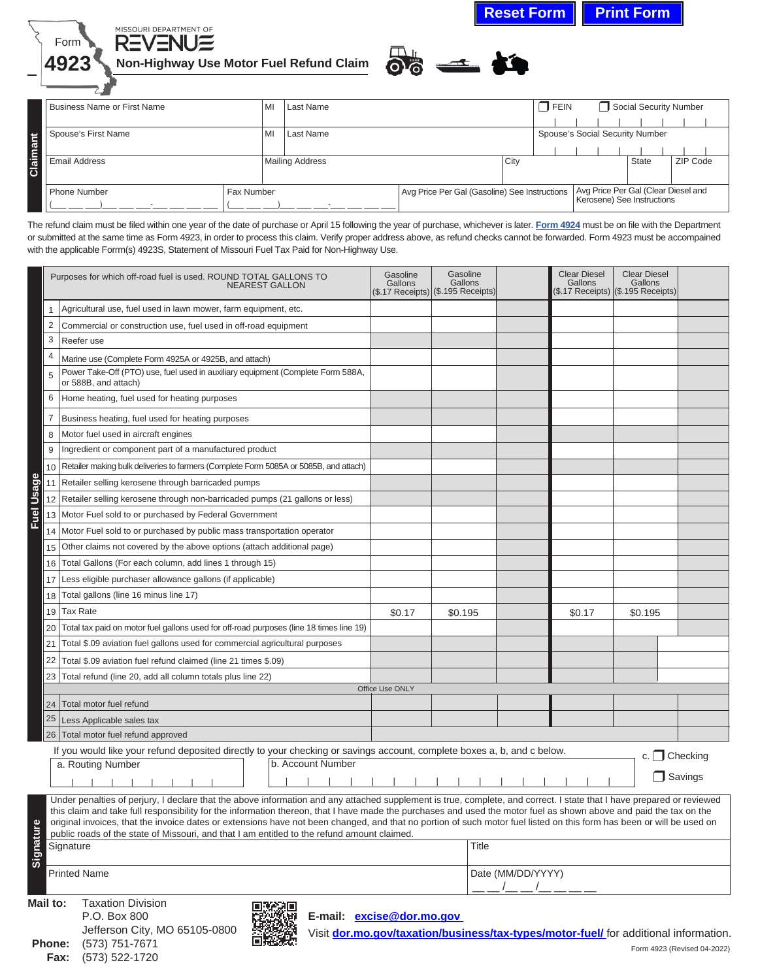**Reset Form | Print Form** 





Business Name or First Name MI Last Name MI Last Name Research Contract Contract Contract Contract Number | | | | | | | | Spouse's First Name MI Last Name NI Last Name Spouse's Social Security Number Claimant **Claimant** | | | | | | | | Email Address Mailing Address City State ZIP Code Avg Price Per Gal (Clear Diesel and<br>Kerosene) See Instructions Phone Number Fax Number Avg Price Per Gal (Gasoline) See Instructions (\_\_\_ \_\_\_ \_\_\_)\_\_\_ \_\_\_ \_\_\_-\_\_\_ \_\_\_ \_\_\_ \_\_\_ (\_\_\_ \_\_\_ \_\_\_)\_\_\_ \_\_\_ \_\_\_-\_\_\_ \_\_\_ \_\_\_ \_\_\_

The refund claim must be filed within one year of the date of purchase or April 15 following the year of purchase, whichever is later. **[Form 4924](http://dor.mo.gov/forms/index.php?category=&formName=4924)** must be on file with the Department or submitted at the same time as Form 4923, in order to process this claim. Verify proper address above, as refund checks cannot be forwarded. Form 4923 must be accompained with the applicable Forrm(s) 4923S, Statement of Missouri Fuel Tax Paid for Non-Highway Use.

|            | Purposes for which off-road fuel is used. ROUND TOTAL GALLONS TO<br><b>NEAREST GALLON</b>                                                                                                                                                                                                                                                                                                                                                                                                                            |                 | Gasoline<br>Gallons<br>$(\$.17 \text{ Records})$ (\$.195 Receipts) |  | <b>Clear Diesel</b><br>Gallons | <b>Clear Diesel</b><br>Gallons<br>(\$.17 Receipts) ((\$.195 Receipts) |                     |  |  |
|------------|----------------------------------------------------------------------------------------------------------------------------------------------------------------------------------------------------------------------------------------------------------------------------------------------------------------------------------------------------------------------------------------------------------------------------------------------------------------------------------------------------------------------|-----------------|--------------------------------------------------------------------|--|--------------------------------|-----------------------------------------------------------------------|---------------------|--|--|
|            | Agricultural use, fuel used in lawn mower, farm equipment, etc.<br>1                                                                                                                                                                                                                                                                                                                                                                                                                                                 |                 |                                                                    |  |                                |                                                                       |                     |  |  |
|            | $\overline{2}$<br>Commercial or construction use, fuel used in off-road equipment                                                                                                                                                                                                                                                                                                                                                                                                                                    |                 |                                                                    |  |                                |                                                                       |                     |  |  |
|            | 3<br>Reefer use                                                                                                                                                                                                                                                                                                                                                                                                                                                                                                      |                 |                                                                    |  |                                |                                                                       |                     |  |  |
|            | $\overline{4}$<br>Marine use (Complete Form 4925A or 4925B, and attach)                                                                                                                                                                                                                                                                                                                                                                                                                                              |                 |                                                                    |  |                                |                                                                       |                     |  |  |
|            | Power Take-Off (PTO) use, fuel used in auxiliary equipment (Complete Form 588A,<br>5<br>or 588B, and attach)                                                                                                                                                                                                                                                                                                                                                                                                         |                 |                                                                    |  |                                |                                                                       |                     |  |  |
|            | 6<br>Home heating, fuel used for heating purposes                                                                                                                                                                                                                                                                                                                                                                                                                                                                    |                 |                                                                    |  |                                |                                                                       |                     |  |  |
|            | 7<br>Business heating, fuel used for heating purposes                                                                                                                                                                                                                                                                                                                                                                                                                                                                |                 |                                                                    |  |                                |                                                                       |                     |  |  |
|            | Motor fuel used in aircraft engines<br>8                                                                                                                                                                                                                                                                                                                                                                                                                                                                             |                 |                                                                    |  |                                |                                                                       |                     |  |  |
|            | 9<br>Ingredient or component part of a manufactured product                                                                                                                                                                                                                                                                                                                                                                                                                                                          |                 |                                                                    |  |                                |                                                                       |                     |  |  |
|            | Retailer making bulk deliveries to farmers (Complete Form 5085A or 5085B, and attach)<br>10                                                                                                                                                                                                                                                                                                                                                                                                                          |                 |                                                                    |  |                                |                                                                       |                     |  |  |
|            | Retailer selling kerosene through barricaded pumps<br>11                                                                                                                                                                                                                                                                                                                                                                                                                                                             |                 |                                                                    |  |                                |                                                                       |                     |  |  |
| Fuel Usage | 12<br>Retailer selling kerosene through non-barricaded pumps (21 gallons or less)                                                                                                                                                                                                                                                                                                                                                                                                                                    |                 |                                                                    |  |                                |                                                                       |                     |  |  |
|            | Motor Fuel sold to or purchased by Federal Government<br>13                                                                                                                                                                                                                                                                                                                                                                                                                                                          |                 |                                                                    |  |                                |                                                                       |                     |  |  |
|            | Motor Fuel sold to or purchased by public mass transportation operator<br>14                                                                                                                                                                                                                                                                                                                                                                                                                                         |                 |                                                                    |  |                                |                                                                       |                     |  |  |
|            | Other claims not covered by the above options (attach additional page)<br>15                                                                                                                                                                                                                                                                                                                                                                                                                                         |                 |                                                                    |  |                                |                                                                       |                     |  |  |
|            | Total Gallons (For each column, add lines 1 through 15)<br>16                                                                                                                                                                                                                                                                                                                                                                                                                                                        |                 |                                                                    |  |                                |                                                                       |                     |  |  |
|            | 17<br>Less eligible purchaser allowance gallons (if applicable)                                                                                                                                                                                                                                                                                                                                                                                                                                                      |                 |                                                                    |  |                                |                                                                       |                     |  |  |
|            | 18<br>Total gallons (line 16 minus line 17)                                                                                                                                                                                                                                                                                                                                                                                                                                                                          |                 |                                                                    |  |                                |                                                                       |                     |  |  |
|            | <b>Tax Rate</b><br>19                                                                                                                                                                                                                                                                                                                                                                                                                                                                                                | \$0.17          | \$0.195                                                            |  | \$0.17                         | \$0.195                                                               |                     |  |  |
|            | 20<br>Total tax paid on motor fuel gallons used for off-road purposes (line 18 times line 19)                                                                                                                                                                                                                                                                                                                                                                                                                        |                 |                                                                    |  |                                |                                                                       |                     |  |  |
|            | 21<br>Total \$.09 aviation fuel gallons used for commercial agricultural purposes                                                                                                                                                                                                                                                                                                                                                                                                                                    |                 |                                                                    |  |                                |                                                                       |                     |  |  |
|            | 22<br>Total \$.09 aviation fuel refund claimed (line 21 times \$.09)                                                                                                                                                                                                                                                                                                                                                                                                                                                 |                 |                                                                    |  |                                |                                                                       |                     |  |  |
|            | 23<br>Total refund (line 20, add all column totals plus line 22)                                                                                                                                                                                                                                                                                                                                                                                                                                                     |                 |                                                                    |  |                                |                                                                       |                     |  |  |
|            |                                                                                                                                                                                                                                                                                                                                                                                                                                                                                                                      | Office Use ONLY |                                                                    |  |                                |                                                                       |                     |  |  |
|            | Total motor fuel refund<br>24                                                                                                                                                                                                                                                                                                                                                                                                                                                                                        |                 |                                                                    |  |                                |                                                                       |                     |  |  |
|            | 25<br>Less Applicable sales tax                                                                                                                                                                                                                                                                                                                                                                                                                                                                                      |                 |                                                                    |  |                                |                                                                       |                     |  |  |
|            | 26 Total motor fuel refund approved                                                                                                                                                                                                                                                                                                                                                                                                                                                                                  |                 |                                                                    |  |                                |                                                                       |                     |  |  |
|            | If you would like your refund deposited directly to your checking or savings account, complete boxes a, b, and c below.<br>b. Account Number<br>a. Routing Number                                                                                                                                                                                                                                                                                                                                                    |                 |                                                                    |  |                                | c. $\Box$ Checking                                                    |                     |  |  |
|            |                                                                                                                                                                                                                                                                                                                                                                                                                                                                                                                      |                 |                                                                    |  |                                |                                                                       | $\sqsupset$ Savings |  |  |
|            |                                                                                                                                                                                                                                                                                                                                                                                                                                                                                                                      |                 |                                                                    |  |                                |                                                                       |                     |  |  |
|            | Under penalties of perjury, I declare that the above information and any attached supplement is true, complete, and correct. I state that I have prepared or reviewed<br>this claim and take full responsibility for the information thereon, that I have made the purchases and used the motor fuel as shown above and paid the tax on the<br>original invoices, that the invoice dates or extensions have not been changed, and that no portion of such motor fuel listed on this form has been or will be used on |                 |                                                                    |  |                                |                                                                       |                     |  |  |
| Signature  | public roads of the state of Missouri, and that I am entitled to the refund amount claimed.<br>Title                                                                                                                                                                                                                                                                                                                                                                                                                 |                 |                                                                    |  |                                |                                                                       |                     |  |  |
|            | Signature                                                                                                                                                                                                                                                                                                                                                                                                                                                                                                            |                 |                                                                    |  |                                |                                                                       |                     |  |  |
|            | <b>Printed Name</b>                                                                                                                                                                                                                                                                                                                                                                                                                                                                                                  |                 | Date (MM/DD/YYYY)<br>_________                                     |  |                                |                                                                       |                     |  |  |



Visit **[dor.mo.gov/taxation/business/tax-types/motor-fuel/](https://dor.mo.gov/taxation/business/tax-types/motor-fuel/)** for additional information. Form 4923 (Revised 04-2022)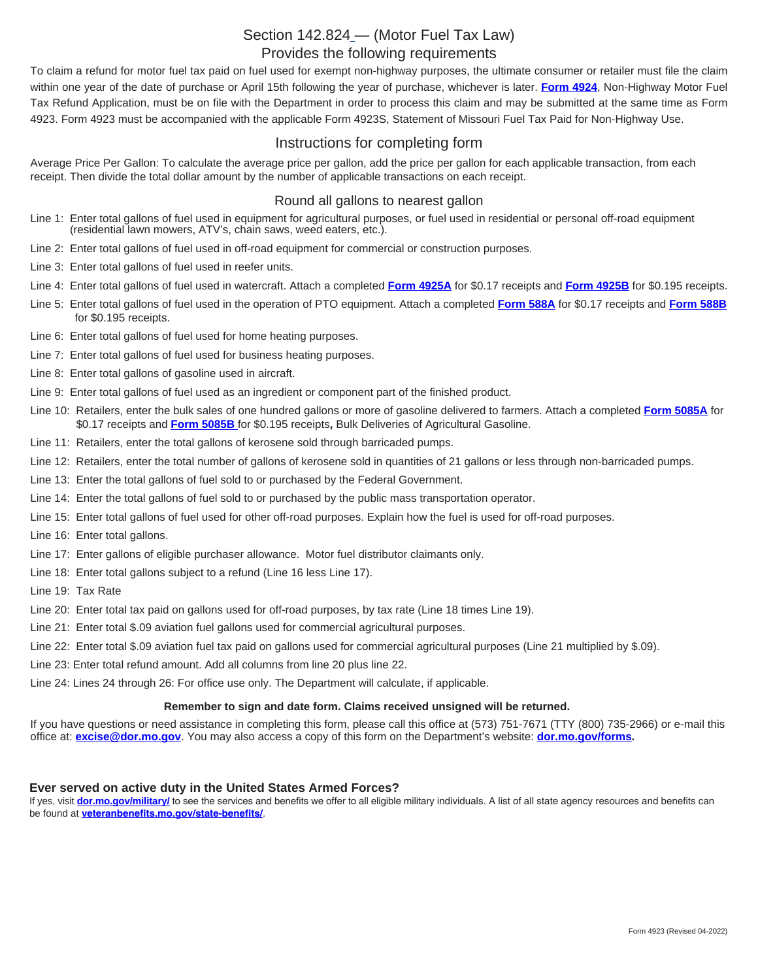## [Section 142.824](https://revisor.mo.gov/main/OneSection.aspx?section=142.824) — (Motor Fuel Tax Law) Provides the following requirements

To claim a refund for motor fuel tax paid on fuel used for exempt non-highway purposes, the ultimate consumer or retailer must file the claim within one year of the date of purchase or April 15th following the year of purchase, whichever is later. **[Form 4924](http://dor.mo.gov/forms/index.php?category=&formName=4924)**, Non-Highway Motor Fuel Tax Refund Application, must be on file with the Department in order to process this claim and may be submitted at the same time as Form 4923. Form 4923 must be accompanied with the applicable Form 4923S, Statement of Missouri Fuel Tax Paid for Non-Highway Use.

## Instructions for completing form

Average Price Per Gallon: To calculate the average price per gallon, add the price per gallon for each applicable transaction, from each receipt. Then divide the total dollar amount by the number of applicable transactions on each receipt.

### Round all gallons to nearest gallon

- Line 1: Enter total gallons of fuel used in equipment for agricultural purposes, or fuel used in residential or personal off-road equipment (residential lawn mowers, ATV's, chain saws, weed eaters, etc.).
- Line 2: Enter total gallons of fuel used in off-road equipment for commercial or construction purposes.
- Line 3: Enter total gallons of fuel used in reefer units.
- Line 4: Enter total gallons of fuel used in watercraft. Attach a completed **[Form 4925A](https://dor.mo.gov/forms/?formName=4925A&category=&year=99http://)** for \$0.17 receipts and **[Form 4925B](https://dor.mo.gov/forms/?formName=4925B&category=&year=99)** for \$0.195 receipts.
- Line 5:Enter total gallons of fuel used in the operation of PTO equipment. Attach a completed **[Form 588A](https://dor.mo.gov/forms/?formName=588A&category=&year=99)** for \$0.17 receipts and **[Form 588B](https://dor.mo.gov/forms/?formName=588A&category=&year=99)**  for \$0.195 receipts.
- Line 6: Enter total gallons of fuel used for home heating purposes.
- Line 7: Enter total gallons of fuel used for business heating purposes.
- Line 8: Enter total gallons of gasoline used in aircraft.
- Line 9: Enter total gallons of fuel used as an ingredient or component part of the finished product.
- Line 10: Retailers, enter the bulk sales of one hundred gallons or more of gasoline delivered to farmers. Attach a completed **[Form 5085A](https://dor.mo.gov/forms/?formName=5085A&category=&year=99)** for \$0.17 receipts and **[Form 5085B](https://dor.mo.gov/forms/?formName=5085B&category=&year=99)** for \$0.195 receipts**,** Bulk Deliveries of Agricultural Gasoline.
- Line 11: Retailers, enter the total gallons of kerosene sold through barricaded pumps.
- Line 12: Retailers, enter the total number of gallons of kerosene sold in quantities of 21 gallons or less through non-barricaded pumps.
- Line 13: Enter the total gallons of fuel sold to or purchased by the Federal Government.
- Line 14: Enter the total gallons of fuel sold to or purchased by the public mass transportation operator.
- Line 15: Enter total gallons of fuel used for other off-road purposes. Explain how the fuel is used for off-road purposes.
- Line 16: Enter total gallons.
- Line 17: Enter gallons of eligible purchaser allowance. Motor fuel distributor claimants only.
- Line 18: Enter total gallons subject to a refund (Line 16 less Line 17).
- Line 19: Tax Rate
- Line 20: Enter total tax paid on gallons used for off-road purposes, by tax rate (Line 18 times Line 19).
- Line 21: Enter total \$.09 aviation fuel gallons used for commercial agricultural purposes.
- Line 22: Enter total \$.09 aviation fuel tax paid on gallons used for commercial agricultural purposes (Line 21 multiplied by \$.09).
- Line 23: Enter total refund amount. Add all columns from line 20 plus line 22.
- Line 24: Lines 24 through 26: For office use only. The Department will calculate, if applicable.

#### **Remember to sign and date form. Claims received unsigned will be returned.**

If you have questions or need assistance in completing this form, please call this office at (573) 751-7671 (TTY (800) 735-2966) or e-mail this office at: **excise@dor.mo.gov**. You may also access a copy of this form on the Department's website: **[dor.mo.gov/forms](https://dor.mo.gov/forms/).**

#### **Ever served on active duty in the United States Armed Forces?**

If yes, visit **[dor.mo.gov/military/](https://dor.mo.gov/military/)** to see the services and benefits we offer to all eligible military individuals. A list of all state agency resources and benefits can be found at **[veteranbenefits.mo.gov/state-benefits/](https://veteranbenefits.mo.gov/state-benefits/)**.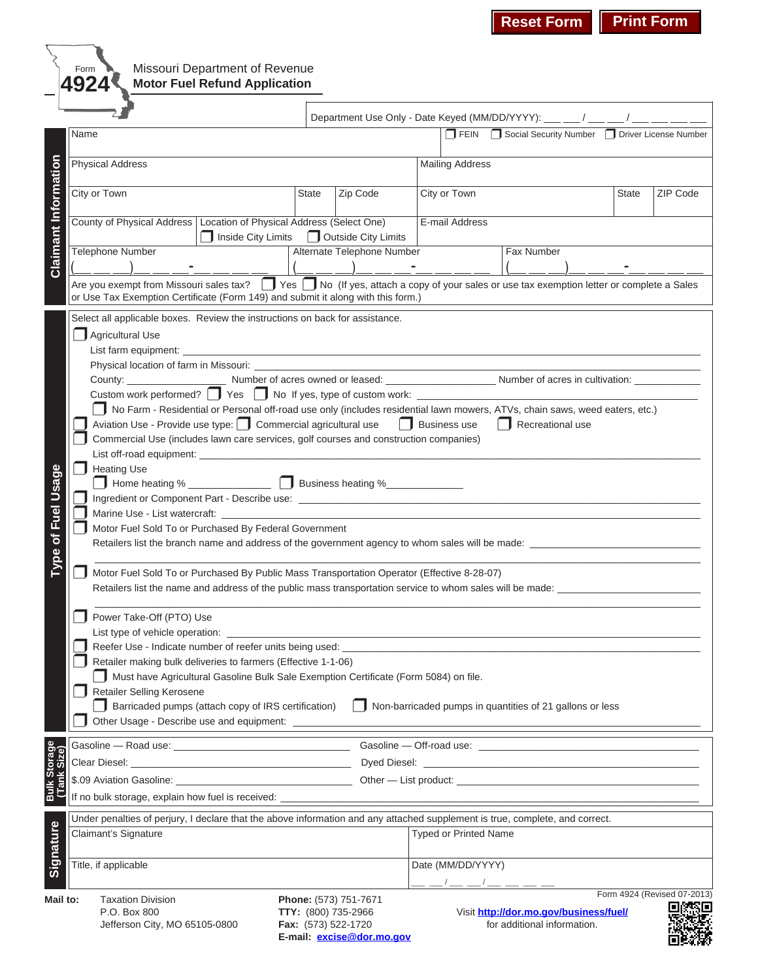# Missouri Department of Revenue **Motor Fuel Refund Application**

Form **4924**

|                             |                                                                                                                                                                                                                                       |                                                                                                                               |                              | Department Use Only - Date Keyed (MM/DD/YYYY): ___ __ / __ __ / ___ __ / ___ __ _ |                 |                             |  |  |  |  |  |  |
|-----------------------------|---------------------------------------------------------------------------------------------------------------------------------------------------------------------------------------------------------------------------------------|-------------------------------------------------------------------------------------------------------------------------------|------------------------------|-----------------------------------------------------------------------------------|-----------------|-----------------------------|--|--|--|--|--|--|
|                             | Name                                                                                                                                                                                                                                  | FEIN Social Security Number Diriver License Number                                                                            |                              |                                                                                   |                 |                             |  |  |  |  |  |  |
|                             | <b>Physical Address</b>                                                                                                                                                                                                               | <b>Mailing Address</b>                                                                                                        |                              |                                                                                   |                 |                             |  |  |  |  |  |  |
|                             | City or Town                                                                                                                                                                                                                          | <b>State</b><br>Zip Code                                                                                                      | City or Town                 | <b>State</b>                                                                      | <b>ZIP Code</b> |                             |  |  |  |  |  |  |
| <b>Claimant Information</b> | County of Physical Address   Location of Physical Address (Select One)<br>Inside City Limits   Outside City Limits                                                                                                                    |                                                                                                                               | E-mail Address               |                                                                                   |                 |                             |  |  |  |  |  |  |
|                             | Alternate Telephone Number<br><b>Telephone Number</b>                                                                                                                                                                                 | Fax Number                                                                                                                    |                              |                                                                                   |                 |                             |  |  |  |  |  |  |
|                             |                                                                                                                                                                                                                                       |                                                                                                                               |                              |                                                                                   |                 |                             |  |  |  |  |  |  |
|                             | T Yes T No (If yes, attach a copy of your sales or use tax exemption letter or complete a Sales<br>Are you exempt from Missouri sales tax?<br>or Use Tax Exemption Certificate (Form 149) and submit it along with this form.)        |                                                                                                                               |                              |                                                                                   |                 |                             |  |  |  |  |  |  |
|                             |                                                                                                                                                                                                                                       |                                                                                                                               |                              |                                                                                   |                 |                             |  |  |  |  |  |  |
|                             | Select all applicable boxes. Review the instructions on back for assistance.<br>Agricultural Use                                                                                                                                      |                                                                                                                               |                              |                                                                                   |                 |                             |  |  |  |  |  |  |
|                             |                                                                                                                                                                                                                                       |                                                                                                                               |                              |                                                                                   |                 |                             |  |  |  |  |  |  |
|                             |                                                                                                                                                                                                                                       |                                                                                                                               |                              |                                                                                   |                 |                             |  |  |  |  |  |  |
|                             |                                                                                                                                                                                                                                       |                                                                                                                               |                              |                                                                                   |                 |                             |  |  |  |  |  |  |
|                             | Custom work performed? Ves No If yes, type of custom work: ____________                                                                                                                                                               |                                                                                                                               |                              |                                                                                   |                 |                             |  |  |  |  |  |  |
|                             | No Farm - Residential or Personal off-road use only (includes residential lawn mowers, ATVs, chain saws, weed eaters, etc.)<br>Aviation Use - Provide use type: Commercial agricultural use   Business use<br>$\Box$ Recreational use |                                                                                                                               |                              |                                                                                   |                 |                             |  |  |  |  |  |  |
|                             |                                                                                                                                                                                                                                       |                                                                                                                               |                              |                                                                                   |                 |                             |  |  |  |  |  |  |
|                             | Commercial Use (includes lawn care services, golf courses and construction companies)                                                                                                                                                 |                                                                                                                               |                              |                                                                                   |                 |                             |  |  |  |  |  |  |
|                             | <b>Heating Use</b>                                                                                                                                                                                                                    |                                                                                                                               |                              |                                                                                   |                 |                             |  |  |  |  |  |  |
|                             | Home heating % ________________ D Business heating %______________                                                                                                                                                                    |                                                                                                                               |                              |                                                                                   |                 |                             |  |  |  |  |  |  |
|                             |                                                                                                                                                                                                                                       |                                                                                                                               |                              |                                                                                   |                 |                             |  |  |  |  |  |  |
|                             | Marine Use - List watercraft: ___________                                                                                                                                                                                             |                                                                                                                               |                              |                                                                                   |                 |                             |  |  |  |  |  |  |
|                             | Motor Fuel Sold To or Purchased By Federal Government                                                                                                                                                                                 |                                                                                                                               |                              |                                                                                   |                 |                             |  |  |  |  |  |  |
| Type of Fuel Usage          |                                                                                                                                                                                                                                       |                                                                                                                               |                              |                                                                                   |                 |                             |  |  |  |  |  |  |
|                             | Motor Fuel Sold To or Purchased By Public Mass Transportation Operator (Effective 8-28-07)                                                                                                                                            |                                                                                                                               |                              |                                                                                   |                 |                             |  |  |  |  |  |  |
|                             | Retailers list the name and address of the public mass transportation service to whom sales will be made: _____________________________                                                                                               |                                                                                                                               |                              |                                                                                   |                 |                             |  |  |  |  |  |  |
|                             | Power Take-Off (PTO) Use                                                                                                                                                                                                              |                                                                                                                               |                              |                                                                                   |                 |                             |  |  |  |  |  |  |
|                             |                                                                                                                                                                                                                                       | List type of vehicle operation: _________<br>Reefer Use - Indicate number of reefer units being used: _______________________ |                              |                                                                                   |                 |                             |  |  |  |  |  |  |
|                             | Retailer making bulk deliveries to farmers (Effective 1-1-06)                                                                                                                                                                         |                                                                                                                               |                              |                                                                                   |                 |                             |  |  |  |  |  |  |
|                             | Must have Agricultural Gasoline Bulk Sale Exemption Certificate (Form 5084) on file.                                                                                                                                                  |                                                                                                                               |                              |                                                                                   |                 |                             |  |  |  |  |  |  |
|                             | <b>Retailer Selling Kerosene</b>                                                                                                                                                                                                      |                                                                                                                               |                              |                                                                                   |                 |                             |  |  |  |  |  |  |
|                             | Barricaded pumps (attach copy of IRS certification)<br>- 1<br>Non-barricaded pumps in quantities of 21 gallons or less<br>$\mathbf{1}$<br>Other Usage - Describe use and equipment: ______                                            |                                                                                                                               |                              |                                                                                   |                 |                             |  |  |  |  |  |  |
|                             |                                                                                                                                                                                                                                       |                                                                                                                               |                              |                                                                                   |                 |                             |  |  |  |  |  |  |
|                             |                                                                                                                                                                                                                                       |                                                                                                                               |                              |                                                                                   |                 |                             |  |  |  |  |  |  |
|                             |                                                                                                                                                                                                                                       |                                                                                                                               |                              |                                                                                   |                 |                             |  |  |  |  |  |  |
| Bulk Storage<br>(Tank Size) | If no bulk storage, explain how fuel is received: _____                                                                                                                                                                               |                                                                                                                               |                              |                                                                                   |                 |                             |  |  |  |  |  |  |
| Signature                   | Under penalties of perjury, I declare that the above information and any attached supplement is true, complete, and correct.                                                                                                          |                                                                                                                               |                              |                                                                                   |                 |                             |  |  |  |  |  |  |
|                             | Claimant's Signature                                                                                                                                                                                                                  |                                                                                                                               | <b>Typed or Printed Name</b> |                                                                                   |                 |                             |  |  |  |  |  |  |
|                             | Title, if applicable                                                                                                                                                                                                                  |                                                                                                                               | Date (MM/DD/YYYY)            |                                                                                   |                 |                             |  |  |  |  |  |  |
|                             |                                                                                                                                                                                                                                       |                                                                                                                               | __ _/__ _/__ __ __           |                                                                                   |                 | Form 4924 (Revised 07-2013) |  |  |  |  |  |  |
| Mail to:                    | <b>Taxation Division</b><br>P.O. Box 800                                                                                                                                                                                              | Phone: (573) 751-7671<br>TTY: (800) 735-2966                                                                                  |                              | Visit http://dor.mo.gov/business/fuel/                                            |                 |                             |  |  |  |  |  |  |
|                             | Jefferson City, MO 65105-0800                                                                                                                                                                                                         | Fax: (573) 522-1720                                                                                                           |                              | for additional information.                                                       |                 |                             |  |  |  |  |  |  |
|                             |                                                                                                                                                                                                                                       | E-mail: excise@dor.mo.gov                                                                                                     |                              |                                                                                   |                 |                             |  |  |  |  |  |  |